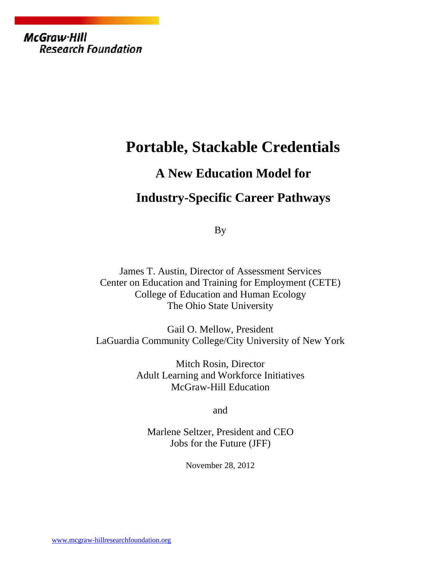McGraw-Hill **Research Foundation** 

### **Portable, Stackable Credentials**

# **A New Education Model for**

## **Industry-Specific Career Pathways**

By

James T. Austin, Director of Assessment Services Center on Education and Training for Employment (CETE) College of Education and Human Ecology The Ohio State University

Gail O. Mellow, President LaGuardia Community College/City University of New York

> Mitch Rosin, Director Adult Learning and Workforce Initiatives McGraw-Hill Education

> > and

Marlene Seltzer, President and CEO Jobs for the Future (JFF)

November 28, 2012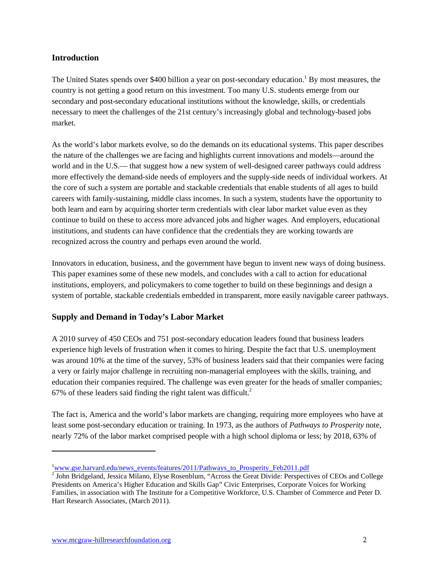#### **Introduction**

The United States spends over \$400 billion a year on post-secondary education.<sup>1</sup> By most measures, the country is not getting a good return on this investment. Too many U.S. students emerge from our secondary and post-secondary educational institutions without the knowledge, skills, or credentials necessary to meet the challenges of the 21st century's increasingly global and technology-based jobs market.

As the world's labor markets evolve, so do the demands on its educational systems. This paper describes the nature of the challenges we are facing and highlights current innovations and models—around the world and in the U.S.— that suggest how a new system of well-designed career pathways could address more effectively the demand-side needs of employers and the supply-side needs of individual workers. At the core of such a system are portable and stackable credentials that enable students of all ages to build careers with family-sustaining, middle class incomes. In such a system, students have the opportunity to both learn and earn by acquiring shorter term credentials with clear labor market value even as they continue to build on these to access more advanced jobs and higher wages. And employers, educational institutions, and students can have confidence that the credentials they are working towards are recognized across the country and perhaps even around the world.

Innovators in education, business, and the government have begun to invent new ways of doing business. This paper examines some of these new models, and concludes with a call to action for educational institutions, employers, and policymakers to come together to build on these beginnings and design a system of portable, stackable credentials embedded in transparent, more easily navigable career pathways.

#### **Supply and Demand in Today's Labor Market**

A 2010 survey of 450 CEOs and 751 post-secondary education leaders found that business leaders experience high levels of frustration when it comes to hiring. Despite the fact that U.S. unemployment was around 10% at the time of the survey, 53% of business leaders said that their companies were facing a very or fairly major challenge in recruiting non-managerial employees with the skills, training, and education their companies required. The challenge was even greater for the heads of smaller companies; 67% of these leaders said finding the right talent was difficult.<sup>2</sup>

The fact is, America and the world's labor markets are changing, requiring more employees who have at least some post-secondary education or training. In 1973, as the authors of *Pathways to Prosperity* note, nearly 72% of the labor market comprised people with a high school diploma or less; by 2018, 63% of

<sup>&</sup>lt;sup>1</sup>www.gse.harvard.edu/news\_events/features/2011/Pathways\_to\_Prosperity\_Feb2011.pdf

<sup>&</sup>lt;sup>2</sup> John Bridgeland, Jessica Milano, Elyse Rosenblum, "Across the Great Divide: Perspectives of CEOs and College Presidents on America's Higher Education and Skills Gap" Civic Enterprises, Corporate Voices for Working Families, in association with The Institute for a Competitive Workforce, U.S. Chamber of Commerce and Peter D. Hart Research Associates, (March 2011).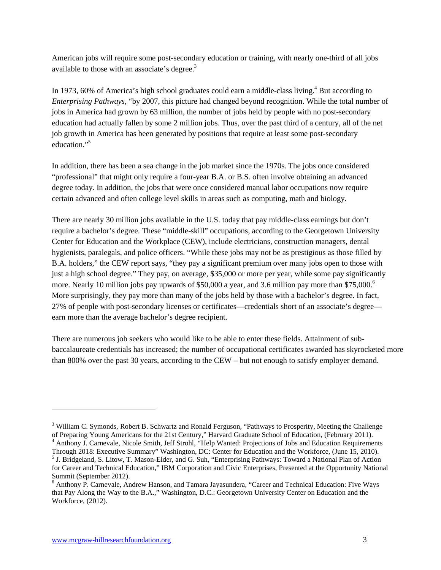American jobs will require some post-secondary education or training, with nearly one-third of all jobs available to those with an associate's degree.<sup>3</sup>

In 1973, 60% of America's high school graduates could earn a middle-class living.<sup>4</sup> But according to *Enterprising Pathways,* "by 2007, this picture had changed beyond recognition. While the total number of jobs in America had grown by 63 million, the number of jobs held by people with no post-secondary education had actually fallen by some 2 million jobs. Thus, over the past third of a century, all of the net job growth in America has been generated by positions that require at least some post-secondary education<sup>"5</sup>

In addition, there has been a sea change in the job market since the 1970s. The jobs once considered "professional" that might only require a four-year B.A. or B.S. often involve obtaining an advanced degree today. In addition, the jobs that were once considered manual labor occupations now require certain advanced and often college level skills in areas such as computing, math and biology.

There are nearly 30 million jobs available in the U.S. today that pay middle-class earnings but don't require a bachelor's degree. These "middle-skill" occupations, according to the Georgetown University Center for Education and the Workplace (CEW), include electricians, construction managers, dental hygienists, paralegals, and police officers. "While these jobs may not be as prestigious as those filled by B.A. holders," the CEW report says, "they pay a significant premium over many jobs open to those with just a high school degree." They pay, on average, \$35,000 or more per year, while some pay significantly more. Nearly 10 million jobs pay upwards of \$50,000 a year, and 3.6 million pay more than \$75,000.<sup>6</sup> More surprisingly, they pay more than many of the jobs held by those with a bachelor's degree. In fact, 27% of people with post-secondary licenses or certificates—credentials short of an associate's degree earn more than the average bachelor's degree recipient.

There are numerous job seekers who would like to be able to enter these fields. Attainment of subbaccalaureate credentials has increased; the number of occupational certificates awarded has skyrocketed more than 800% over the past 30 years, according to the CEW – but not enough to satisfy employer demand.

<sup>&</sup>lt;sup>3</sup> William C. Symonds, Robert B. Schwartz and Ronald Ferguson, "Pathways to Prosperity, Meeting the Challenge of Preparing Young Americans for the 21st Century," Harvard Graduate School of Education, (February 2011). <sup>4</sup> Anthony J. Carnevale, Nicole Smith, Jeff Strohl, "Help Wanted: Projections of Jobs and Education Requirements Through 2018: Executive Summary" Washington, DC: Center for Education and the Workforce, (June 15, 2010).

<sup>5</sup> J. Bridgeland, S. Litow, T. Mason-Elder, and G. Suh, "Enterprising Pathways: Toward a National Plan of Action for Career and Technical Education," IBM Corporation and Civic Enterprises, Presented at the Opportunity National Summit (September 2012).

<sup>6</sup> Anthony P. Carnevale, Andrew Hanson, and Tamara Jayasundera, "Career and Technical Education: Five Ways that Pay Along the Way to the B.A.," Washington, D.C.: Georgetown University Center on Education and the Workforce, (2012).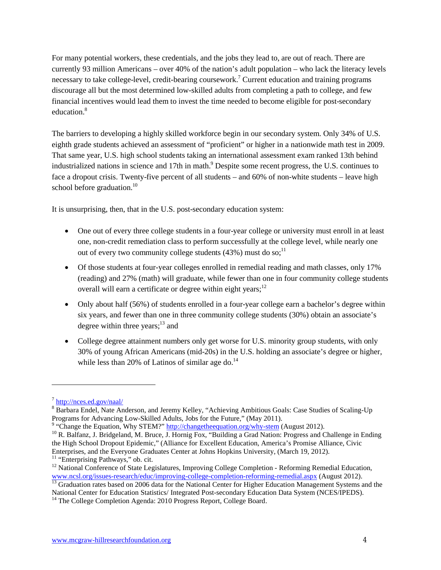For many potential workers, these credentials, and the jobs they lead to, are out of reach. There are currently 93 million Americans – over 40% of the nation's adult population – who lack the literacy levels necessary to take college-level, credit-bearing coursework.<sup>7</sup> Current education and training programs discourage all but the most determined low-skilled adults from completing a path to college, and few financial incentives would lead them to invest the time needed to become eligible for post-secondary education.<sup>8</sup>

The barriers to developing a highly skilled workforce begin in our secondary system. Only 34% of U.S. eighth grade students achieved an assessment of "proficient" or higher in a nationwide math test in 2009. That same year, U.S. high school students taking an international assessment exam ranked 13th behind industrialized nations in science and 17th in math.<sup>9</sup> Despite some recent progress, the U.S. continues to face a dropout crisis. Twenty-five percent of all students – and 60% of non-white students – leave high school before graduation. $10$ 

It is unsurprising, then, that in the U.S. post-secondary education system:

- One out of every three college students in a four-year college or university must enroll in at least one, non-credit remediation class to perform successfully at the college level, while nearly one out of every two community college students  $(43%)$  must do so;<sup>11</sup>
- Of those students at four-year colleges enrolled in remedial reading and math classes, only 17% (reading) and 27% (math) will graduate, while fewer than one in four community college students overall will earn a certificate or degree within eight years; $12$
- Only about half (56%) of students enrolled in a four-year college earn a bachelor's degree within six years, and fewer than one in three community college students (30%) obtain an associate's degree within three years; $^{13}$  and
- College degree attainment numbers only get worse for U.S. minority group students, with only 30% of young African Americans (mid-20s) in the U.S. holding an associate's degree or higher, while less than 20% of Latinos of similar age do. $^{14}$

<sup>7</sup> http://nces.ed.gov/naal/

<sup>&</sup>lt;sup>8</sup> Barbara Endel, Nate Anderson, and Jeremy Kelley, "Achieving Ambitious Goals: Case Studies of Scaling-Up Programs for Advancing Low-Skilled Adults, Jobs for the Future," (May 2011).

<sup>&</sup>lt;sup>9</sup> "Change the Equation, Why STEM?" http://changetheequation.org/why-stem (August 2012).<br><sup>10</sup> R. Balfanz, J. Bridgeland, M. Bruce, J. Hornig Fox, "Building a Grad Nation: Progress and Challenge in Ending the High School Dropout Epidemic," (Alliance for Excellent Education, America's Promise Alliance, Civic Enterprises, and the Everyone Graduates Center at Johns Hopkins University, (March 19, 2012).<br><sup>11</sup> "Enterprising Pathways," ob. cit.

<sup>&</sup>lt;sup>12</sup> National Conference of State Legislatures, Improving College Completion - Reforming Remedial Education, www.ncsl.org/issues-research/educ/improving-college-completion-reforming-remedial.aspx (August 2012).<br><sup>13</sup> Graduation rates based on 2006 data for the National Center for Higher Education Management Systems and the

National Center for Education Statistics/ Integrated Post-secondary Education Data System (NCES/IPEDS). <sup>14</sup> The College Completion Agenda: 2010 Progress Report, College Board.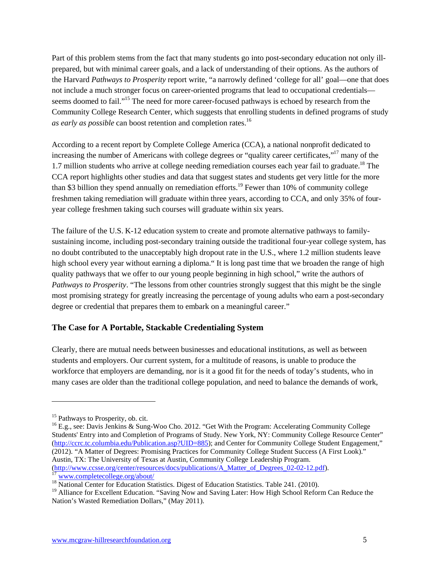Part of this problem stems from the fact that many students go into post-secondary education not only illprepared, but with minimal career goals, and a lack of understanding of their options. As the authors of the Harvard *Pathways to Prosperity* report write, "a narrowly defined 'college for all' goal—one that does not include a much stronger focus on career-oriented programs that lead to occupational credentials seems doomed to fail."<sup>15</sup> The need for more career-focused pathways is echoed by research from the Community College Research Center, which suggests that enrolling students in defined programs of study *as early as possible* can boost retention and completion rates.16

According to a recent report by Complete College America (CCA), a national nonprofit dedicated to increasing the number of Americans with college degrees or "quality career certificates,"17 many of the 1.7 million students who arrive at college needing remediation courses each year fail to graduate.<sup>18</sup> The CCA report highlights other studies and data that suggest states and students get very little for the more than \$3 billion they spend annually on remediation efforts.<sup>19</sup> Fewer than 10% of community college freshmen taking remediation will graduate within three years, according to CCA, and only 35% of fouryear college freshmen taking such courses will graduate within six years.

The failure of the U.S. K-12 education system to create and promote alternative pathways to familysustaining income, including post-secondary training outside the traditional four-year college system, has no doubt contributed to the unacceptably high dropout rate in the U.S., where 1.2 million students leave high school every year without earning a diploma." It is long past time that we broaden the range of high quality pathways that we offer to our young people beginning in high school," write the authors of *Pathways to Prosperity*. "The lessons from other countries strongly suggest that this might be the single most promising strategy for greatly increasing the percentage of young adults who earn a post-secondary degree or credential that prepares them to embark on a meaningful career."

#### **The Case for A Portable, Stackable Credentialing System**

Clearly, there are mutual needs between businesses and educational institutions, as well as between students and employers. Our current system, for a multitude of reasons, is unable to produce the workforce that employers are demanding, nor is it a good fit for the needs of today's students, who in many cases are older than the traditional college population, and need to balance the demands of work,

<sup>&</sup>lt;sup>15</sup> Pathways to Prosperity, ob. cit.<br><sup>16</sup> E.g., see: Davis Jenkins & Sung-Woo Cho. 2012. "Get With the Program: Accelerating Community College Students' Entry into and Completion of Programs of Study. New York, NY: Community College Resource Center" (http://ccrc.tc.columbia.edu/Publication.asp?UID=885); and Center for Community College Student Engagement," (2012). "A Matter of Degrees: Promising Practices for Community College Student Success (A First Look)." Austin, TX: The University of Texas at Austin, Community College Leadership Program.<br>(http://www.ccsse.org/center/resources/docs/publications/A Matter of Degrees 02-02-12.pdf).

<sup>&</sup>lt;sup>17</sup> www.completecollege.org/about/<br><sup>18</sup> National Center for Education Statistics. Digest of Education Statistics. Table 241. (2010).

<sup>&</sup>lt;sup>19</sup> Alliance for Excellent Education. "Saving Now and Saving Later: How High School Reform Can Reduce the Nation's Wasted Remediation Dollars," (May 2011).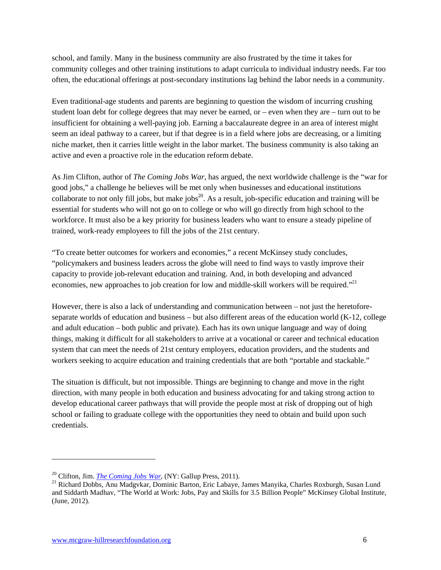school, and family. Many in the business community are also frustrated by the time it takes for community colleges and other training institutions to adapt curricula to individual industry needs. Far too often, the educational offerings at post-secondary institutions lag behind the labor needs in a community.

Even traditional-age students and parents are beginning to question the wisdom of incurring crushing student loan debt for college degrees that may never be earned, or – even when they are – turn out to be insufficient for obtaining a well-paying job. Earning a baccalaureate degree in an area of interest might seem an ideal pathway to a career, but if that degree is in a field where jobs are decreasing, or a limiting niche market, then it carries little weight in the labor market. The business community is also taking an active and even a proactive role in the education reform debate.

As Jim Clifton, author of *The Coming Jobs War*, has argued, the next worldwide challenge is the "war for good jobs," a challenge he believes will be met only when businesses and educational institutions collaborate to not only fill jobs, but make jobs<sup>20</sup>. As a result, job-specific education and training will be essential for students who will not go on to college or who will go directly from high school to the workforce. It must also be a key priority for business leaders who want to ensure a steady pipeline of trained, work-ready employees to fill the jobs of the 21st century.

"To create better outcomes for workers and economies," a recent McKinsey study concludes, "policymakers and business leaders across the globe will need to find ways to vastly improve their capacity to provide job-relevant education and training. And, in both developing and advanced economies, new approaches to job creation for low and middle-skill workers will be required."<sup>21</sup>

However, there is also a lack of understanding and communication between – not just the heretoforeseparate worlds of education and business – but also different areas of the education world (K-12, college and adult education – both public and private). Each has its own unique language and way of doing things, making it difficult for all stakeholders to arrive at a vocational or career and technical education system that can meet the needs of 21st century employers, education providers, and the students and workers seeking to acquire education and training credentials that are both "portable and stackable."

The situation is difficult, but not impossible. Things are beginning to change and move in the right direction, with many people in both education and business advocating for and taking strong action to develop educational career pathways that will provide the people most at risk of dropping out of high school or failing to graduate college with the opportunities they need to obtain and build upon such credentials.

<sup>&</sup>lt;sup>20</sup> Clifton, Jim. *The Coming Jobs War*, (NY: Gallup Press, 2011).<br><sup>21</sup> Richard Dobbs, Anu Madgvkar, Dominic Barton, Eric Labaye, James Manyika, Charles Roxburgh, Susan Lund and Siddarth Madhav, "The World at Work: Jobs, Pay and Skills for 3.5 Billion People" McKinsey Global Institute, (June, 2012).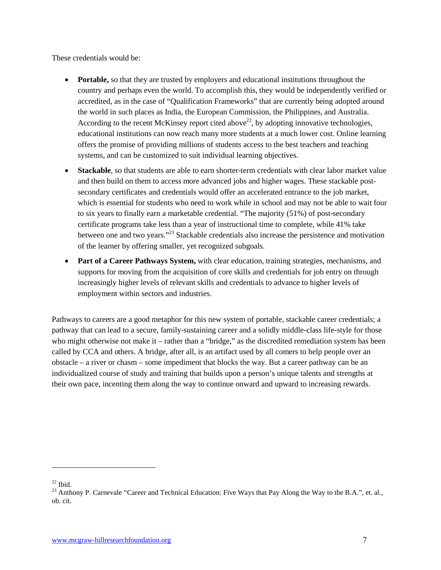These credentials would be:

- **Portable,** so that they are trusted by employers and educational institutions throughout the country and perhaps even the world. To accomplish this, they would be independently verified or accredited, as in the case of "Qualification Frameworks" that are currently being adopted around the world in such places as India, the European Commission, the Philippines, and Australia. According to the recent McKinsey report cited above<sup>22</sup>, by adopting innovative technologies. educational institutions can now reach many more students at a much lower cost. Online learning offers the promise of providing millions of students access to the best teachers and teaching systems, and can be customized to suit individual learning objectives.
- **Stackable**, so that students are able to earn shorter-term credentials with clear labor market value and then build on them to access more advanced jobs and higher wages. These stackable postsecondary certificates and credentials would offer an accelerated entrance to the job market, which is essential for students who need to work while in school and may not be able to wait four to six years to finally earn a marketable credential. "The majority (51%) of post-secondary certificate programs take less than a year of instructional time to complete, while 41% take between one and two years."23 Stackable credentials also increase the persistence and motivation of the learner by offering smaller, yet recognized subgoals.
- **Part of a Career Pathways System,** with clear education, training strategies, mechanisms, and supports for moving from the acquisition of core skills and credentials for job entry on through increasingly higher levels of relevant skills and credentials to advance to higher levels of employment within sectors and industries.

Pathways to careers are a good metaphor for this new system of portable, stackable career credentials; a pathway that can lead to a secure, family-sustaining career and a solidly middle-class life-style for those who might otherwise not make it – rather than a "bridge," as the discredited remediation system has been called by CCA and others. A bridge, after all, is an artifact used by all comers to help people over an obstacle – a river or chasm – some impediment that blocks the way. But a career pathway can be an individualized course of study and training that builds upon a person's unique talents and strengths at their own pace, incenting them along the way to continue onward and upward to increasing rewards.

<sup>&</sup>lt;sup>22</sup> Ibid.<br><sup>23</sup> Anthony P. Carnevale "Career and Technical Education: Five Ways that Pay Along the Way to the B.A.", et. al., ob. cit.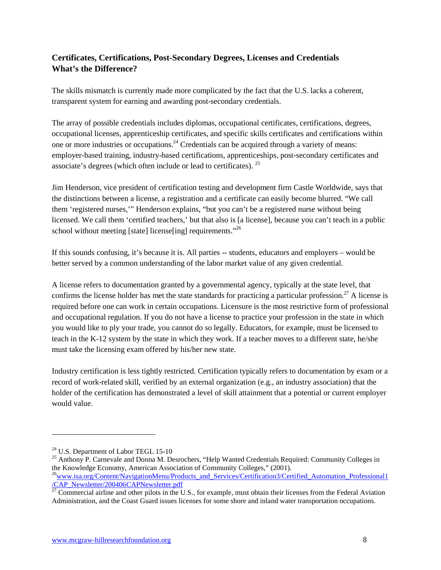#### **Certificates, Certifications, Post-Secondary Degrees, Licenses and Credentials What's the Difference?**

The skills mismatch is currently made more complicated by the fact that the U.S. lacks a coherent, transparent system for earning and awarding post-secondary credentials.

The array of possible credentials includes diplomas, occupational certificates, certifications, degrees, occupational licenses, apprenticeship certificates, and specific skills certificates and certifications within one or more industries or occupations.<sup>24</sup> Credentials can be acquired through a variety of means: employer-based training, industry-based certifications, apprenticeships, post-secondary certificates and associate's degrees (which often include or lead to certificates). 25

Jim Henderson, vice president of certification testing and development firm Castle Worldwide, says that the distinctions between a license, a registration and a certificate can easily become blurred. "We call them 'registered nurses,'" Henderson explains, "but you can't be a registered nurse without being licensed. We call them 'certified teachers,' but that also is [a license], because you can't teach in a public school without meeting [state] license[ing] requirements."<sup>26</sup>

If this sounds confusing, it's because it is. All parties -- students, educators and employers – would be better served by a common understanding of the labor market value of any given credential.

A license refers to documentation granted by a governmental agency, typically at the state level, that confirms the license holder has met the state standards for practicing a particular profession.<sup>27</sup> A license is required before one can work in certain occupations. Licensure is the most restrictive form of professional and occupational regulation. If you do not have a license to practice your profession in the state in which you would like to ply your trade, you cannot do so legally. Educators, for example, must be licensed to teach in the K-12 system by the state in which they work. If a teacher moves to a different state, he/she must take the licensing exam offered by his/her new state.

Industry certification is less tightly restricted. Certification typically refers to documentation by exam or a record of work-related skill, verified by an external organization (e.g., an industry association) that the holder of the certification has demonstrated a level of skill attainment that a potential or current employer would value.

<sup>&</sup>lt;sup>24</sup> U.S. Department of Labor TEGL 15-10<br><sup>25</sup> Anthony P. Carnevale and Donna M. Desrochers, "Help Wanted Credentials Required: Community Colleges in the Knowledge Economy, American Association of Community Colleges," (2001).

<sup>&</sup>lt;sup>26</sup>www.isa.org/Content/NavigationMenu/Products\_and\_Services/Certification3/Certified\_Automation\_Professional1 /CAP\_Newsletter/200406CAPNewsletter.pdf

 $^{27}$  Commercial airline and other pilots in the U.S., for example, must obtain their licenses from the Federal Aviation Administration, and the Coast Guard issues licenses for some shore and inland water transportation occupations.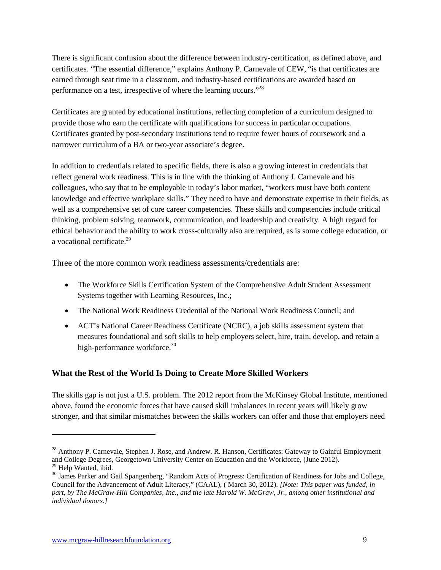There is significant confusion about the difference between industry-certification, as defined above, and certificates. "The essential difference," explains Anthony P. Carnevale of CEW, "is that certificates are earned through seat time in a classroom, and industry-based certifications are awarded based on performance on a test, irrespective of where the learning occurs."28

Certificates are granted by educational institutions, reflecting completion of a curriculum designed to provide those who earn the certificate with qualifications for success in particular occupations. Certificates granted by post-secondary institutions tend to require fewer hours of coursework and a narrower curriculum of a BA or two-year associate's degree.

In addition to credentials related to specific fields, there is also a growing interest in credentials that reflect general work readiness. This is in line with the thinking of Anthony J. Carnevale and his colleagues, who say that to be employable in today's labor market, "workers must have both content knowledge and effective workplace skills." They need to have and demonstrate expertise in their fields, as well as a comprehensive set of core career competencies. These skills and competencies include critical thinking, problem solving, teamwork, communication, and leadership and creativity. A high regard for ethical behavior and the ability to work cross-culturally also are required, as is some college education, or a vocational certificate.<sup>29</sup>

Three of the more common work readiness assessments/credentials are:

- The Workforce Skills Certification System of the Comprehensive Adult Student Assessment Systems together with Learning Resources, Inc.;
- The National Work Readiness Credential of the National Work Readiness Council; and
- ACT's National Career Readiness Certificate (NCRC), a job skills assessment system that measures foundational and soft skills to help employers select, hire, train, develop, and retain a high-performance workforce.<sup>30</sup>

#### **What the Rest of the World Is Doing to Create More Skilled Workers**

The skills gap is not just a U.S. problem. The 2012 report from the McKinsey Global Institute, mentioned above, found the economic forces that have caused skill imbalances in recent years will likely grow stronger, and that similar mismatches between the skills workers can offer and those that employers need

<sup>&</sup>lt;sup>28</sup> Anthony P. Carnevale, Stephen J. Rose, and Andrew. R. Hanson, Certificates: Gateway to Gainful Employment and College Degrees, Georgetown University Center on Education and the Workforce, (June 2012).<br><sup>29</sup> Help Wanted, ibid.

<sup>&</sup>lt;sup>30</sup> James Parker and Gail Spangenberg, "Random Acts of Progress: Certification of Readiness for Jobs and College, Council for the Advancement of Adult Literacy," (CAAL), ( March 30, 2012). *[Note: This paper was funded, in part, by The McGraw-Hill Companies, Inc., and the late Harold W. McGraw, Jr., among other institutional and individual donors.]*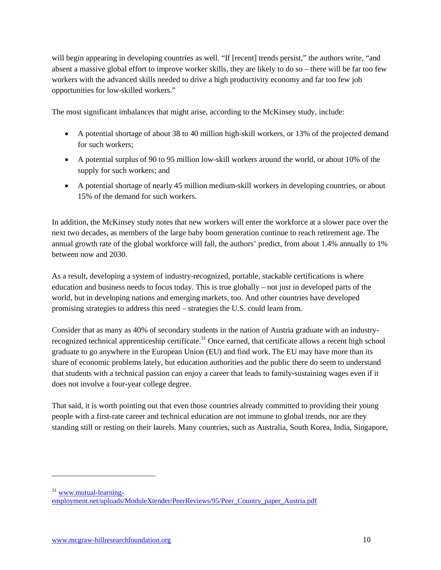will begin appearing in developing countries as well. "If [recent] trends persist," the authors write, "and absent a massive global effort to improve worker skills, they are likely to do so – there will be far too few workers with the advanced skills needed to drive a high productivity economy and far too few job opportunities for low-skilled workers."

The most significant imbalances that might arise, according to the McKinsey study, include:

- A potential shortage of about 38 to 40 million high-skill workers, or 13% of the projected demand for such workers;
- A potential surplus of 90 to 95 million low-skill workers around the world, or about 10% of the supply for such workers; and
- A potential shortage of nearly 45 million medium-skill workers in developing countries, or about 15% of the demand for such workers.

In addition, the McKinsey study notes that new workers will enter the workforce at a slower pace over the next two decades, as members of the large baby boom generation continue to reach retirement age. The annual growth rate of the global workforce will fall, the authors' predict, from about 1.4% annually to 1% between now and 2030.

As a result, developing a system of industry-recognized, portable, stackable certifications is where education and business needs to focus today. This is true globally – not just in developed parts of the world, but in developing nations and emerging markets, too. And other countries have developed promising strategies to address this need – strategies the U.S. could learn from.

Consider that as many as 40% of secondary students in the nation of Austria graduate with an industryrecognized technical apprenticeship certificate.<sup>31</sup> Once earned, that certificate allows a recent high school graduate to go anywhere in the European Union (EU) and find work. The EU may have more than its share of economic problems lately, but education authorities and the public there do seem to understand that students with a technical passion can enjoy a career that leads to family-sustaining wages even if it does not involve a four-year college degree.

That said, it is worth pointing out that even those countries already committed to providing their young people with a first-rate career and technical education are not immune to global trends, nor are they standing still or resting on their laurels. Many countries, such as Australia, South Korea, India, Singapore,

 $31$  www.mutual-learning-

employment.net/uploads/ModuleXtender/PeerReviews/95/Peer\_Country\_paper\_Austria.pdf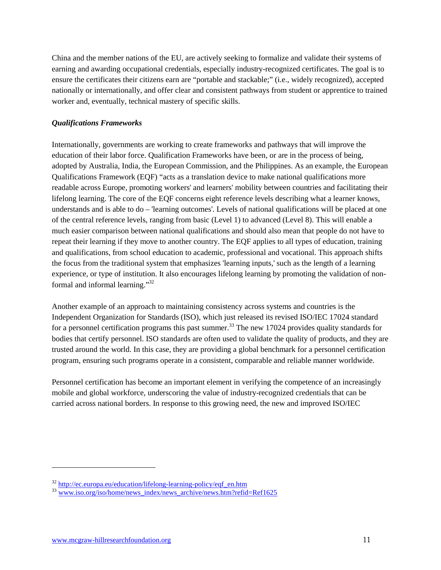China and the member nations of the EU, are actively seeking to formalize and validate their systems of earning and awarding occupational credentials, especially industry-recognized certificates. The goal is to ensure the certificates their citizens earn are "portable and stackable;" (i.e., widely recognized), accepted nationally or internationally, and offer clear and consistent pathways from student or apprentice to trained worker and, eventually, technical mastery of specific skills.

#### *Qualifications Frameworks*

Internationally, governments are working to create frameworks and pathways that will improve the education of their labor force. Qualification Frameworks have been, or are in the process of being, adopted by Australia, India, the European Commission, and the Philippines. As an example, the European Qualifications Framework (EQF) "acts as a translation device to make national qualifications more readable across Europe, promoting workers' and learners' mobility between countries and facilitating their lifelong learning. The core of the EQF concerns eight reference levels describing what a learner knows, understands and is able to do – 'learning outcomes'. Levels of national qualifications will be placed at one of the central reference levels, ranging from basic (Level 1) to advanced (Level 8). This will enable a much easier comparison between national qualifications and should also mean that people do not have to repeat their learning if they move to another country. The EQF applies to all types of education, training and qualifications, from school education to academic, professional and vocational. This approach shifts the focus from the traditional system that emphasizes 'learning inputs,' such as the length of a learning experience, or type of institution. It also encourages lifelong learning by promoting the validation of nonformal and informal learning."32

Another example of an approach to maintaining consistency across systems and countries is the Independent Organization for Standards (ISO), which just released its revised ISO/IEC 17024 standard for a personnel certification programs this past summer.<sup>33</sup> The new 17024 provides quality standards for bodies that certify personnel. ISO standards are often used to validate the quality of products, and they are trusted around the world. In this case, they are providing a global benchmark for a personnel certification program, ensuring such programs operate in a consistent, comparable and reliable manner worldwide.

Personnel certification has become an important element in verifying the competence of an increasingly mobile and global workforce, underscoring the value of industry-recognized credentials that can be carried across national borders. In response to this growing need, the new and improved ISO/IEC

 $\frac{32 \text{ http://ec.europa.eu/education/lifelong-learning-policy/eqf_en.htm}}{33 \text{ www.iso.org/iso/home/news~index/news~archive/news.htm?refid=Ref1625}}$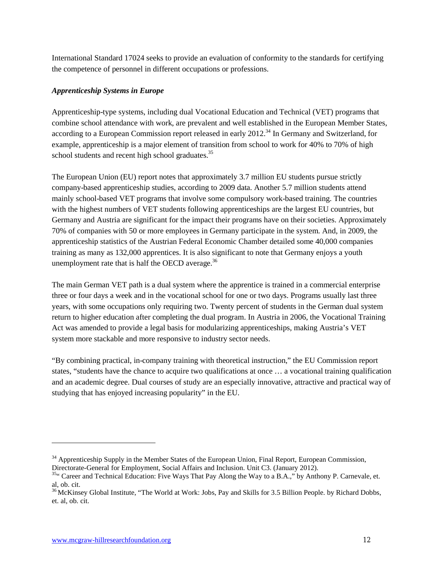International Standard 17024 seeks to provide an evaluation of conformity to the standards for certifying the competence of personnel in different occupations or professions.

#### *Apprenticeship Systems in Europe*

Apprenticeship-type systems, including dual Vocational Education and Technical (VET) programs that combine school attendance with work, are prevalent and well established in the European Member States, according to a European Commission report released in early 2012.<sup>34</sup> In Germany and Switzerland, for example, apprenticeship is a major element of transition from school to work for 40% to 70% of high school students and recent high school graduates.<sup>35</sup>

The European Union (EU) report notes that approximately 3.7 million EU students pursue strictly company-based apprenticeship studies, according to 2009 data. Another 5.7 million students attend mainly school-based VET programs that involve some compulsory work-based training. The countries with the highest numbers of VET students following apprenticeships are the largest EU countries, but Germany and Austria are significant for the impact their programs have on their societies. Approximately 70% of companies with 50 or more employees in Germany participate in the system. And, in 2009, the apprenticeship statistics of the Austrian Federal Economic Chamber detailed some 40,000 companies training as many as 132,000 apprentices. It is also significant to note that Germany enjoys a youth unemployment rate that is half the OECD average. $36$ 

The main German VET path is a dual system where the apprentice is trained in a commercial enterprise three or four days a week and in the vocational school for one or two days. Programs usually last three years, with some occupations only requiring two. Twenty percent of students in the German dual system return to higher education after completing the dual program. In Austria in 2006, the Vocational Training Act was amended to provide a legal basis for modularizing apprenticeships, making Austria's VET system more stackable and more responsive to industry sector needs.

"By combining practical, in-company training with theoretical instruction," the EU Commission report states, "students have the chance to acquire two qualifications at once … a vocational training qualification and an academic degree. Dual courses of study are an especially innovative, attractive and practical way of studying that has enjoyed increasing popularity" in the EU.

<sup>&</sup>lt;sup>34</sup> Apprenticeship Supply in the Member States of the European Union, Final Report, European Commission, Directorate-General for Employment, Social Affairs and Inclusion. Unit C3. (January 2012).

<sup>&</sup>lt;sup>35"</sup> Career and Technical Education: Five Ways That Pay Along the Way to a B.A.," by Anthony P. Carnevale, et. al, ob. cit.

<sup>&</sup>lt;sup>36</sup> McKinsey Global Institute, "The World at Work: Jobs, Pay and Skills for 3.5 Billion People. by Richard Dobbs, et. al, ob. cit.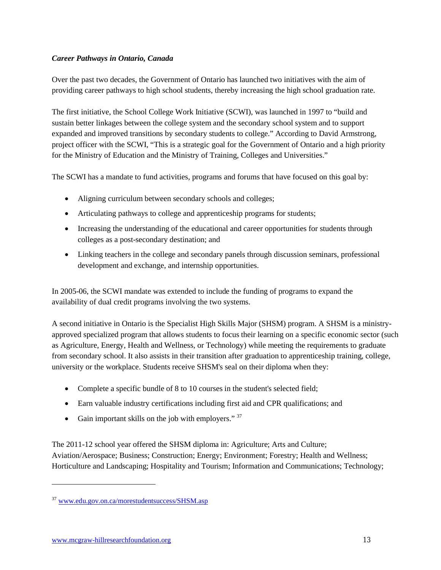#### *Career Pathways in Ontario, Canada*

Over the past two decades, the Government of Ontario has launched two initiatives with the aim of providing career pathways to high school students, thereby increasing the high school graduation rate.

The first initiative, the School College Work Initiative (SCWI), was launched in 1997 to "build and sustain better linkages between the college system and the secondary school system and to support expanded and improved transitions by secondary students to college." According to David Armstrong, project officer with the SCWI, "This is a strategic goal for the Government of Ontario and a high priority for the Ministry of Education and the Ministry of Training, Colleges and Universities."

The SCWI has a mandate to fund activities, programs and forums that have focused on this goal by:

- Aligning curriculum between secondary schools and colleges;
- Articulating pathways to college and apprenticeship programs for students;
- Increasing the understanding of the educational and career opportunities for students through colleges as a post-secondary destination; and
- Linking teachers in the college and secondary panels through discussion seminars, professional development and exchange, and internship opportunities.

In 2005-06, the SCWI mandate was extended to include the funding of programs to expand the availability of dual credit programs involving the two systems.

A second initiative in Ontario is the Specialist High Skills Major (SHSM) program. A SHSM is a ministryapproved specialized program that allows students to focus their learning on a specific economic sector (such as Agriculture, Energy, Health and Wellness, or Technology) while meeting the requirements to graduate from secondary school. It also assists in their transition after graduation to apprenticeship training, college, university or the workplace. Students receive SHSM's seal on their diploma when they:

- Complete a specific bundle of 8 to 10 courses in the student's selected field;
- Earn valuable industry certifications including first aid and CPR qualifications; and
- Gain important skills on the job with employers."  $37$

The 2011-12 school year offered the SHSM diploma in: Agriculture; Arts and Culture; Aviation/Aerospace; Business; Construction; Energy; Environment; Forestry; Health and Wellness; Horticulture and Landscaping; Hospitality and Tourism; Information and Communications; Technology;

<sup>37</sup> www.edu.gov.on.ca/morestudentsuccess/SHSM.asp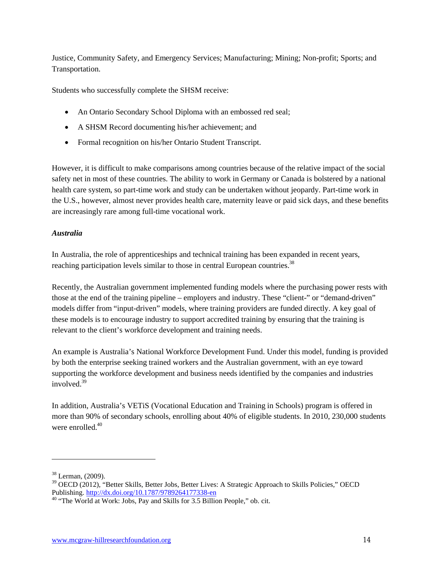Justice, Community Safety, and Emergency Services; Manufacturing; Mining; Non-profit; Sports; and Transportation.

Students who successfully complete the SHSM receive:

- An Ontario Secondary School Diploma with an embossed red seal;
- A SHSM Record documenting his/her achievement; and
- Formal recognition on his/her Ontario Student Transcript.

However, it is difficult to make comparisons among countries because of the relative impact of the social safety net in most of these countries. The ability to work in Germany or Canada is bolstered by a national health care system, so part-time work and study can be undertaken without jeopardy. Part-time work in the U.S., however, almost never provides health care, maternity leave or paid sick days, and these benefits are increasingly rare among full-time vocational work.

#### *Australia*

In Australia, the role of apprenticeships and technical training has been expanded in recent years, reaching participation levels similar to those in central European countries.<sup>38</sup>

Recently, the Australian government implemented funding models where the purchasing power rests with those at the end of the training pipeline – employers and industry. These "client-" or "demand-driven" models differ from "input-driven" models, where training providers are funded directly. A key goal of these models is to encourage industry to support accredited training by ensuring that the training is relevant to the client's workforce development and training needs.

An example is Australia's National Workforce Development Fund. Under this model, funding is provided by both the enterprise seeking trained workers and the Australian government, with an eye toward supporting the workforce development and business needs identified by the companies and industries involved  $39$ 

In addition, Australia's VETiS (Vocational Education and Training in Schools) program is offered in more than 90% of secondary schools, enrolling about 40% of eligible students. In 2010, 230,000 students were enrolled  $40$ 

<sup>38</sup> Lerman, (2009).

<sup>39</sup> OECD (2012), "Better Skills, Better Jobs, Better Lives: A Strategic Approach to Skills Policies," OECD Publishing. http://dx.doi.org/10.1787/9789264177338-en<br><sup>40</sup> "The World at Work: Jobs, Pay and Skills for 3.5 Billion People," ob. cit.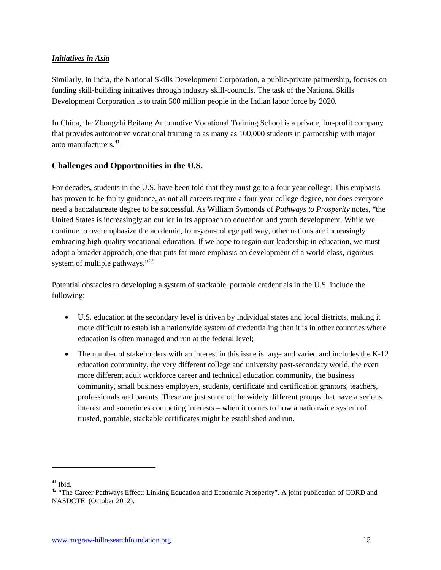#### *Initiatives in Asia*

Similarly, in India, the National Skills Development Corporation, a public-private partnership, focuses on funding skill-building initiatives through industry skill-councils. The task of the National Skills Development Corporation is to train 500 million people in the Indian labor force by 2020.

In China, the Zhongzhi Beifang Automotive Vocational Training School is a private, for-profit company that provides automotive vocational training to as many as 100,000 students in partnership with major auto manufacturers<sup>41</sup>

#### **Challenges and Opportunities in the U.S.**

For decades, students in the U.S. have been told that they must go to a four-year college. This emphasis has proven to be faulty guidance, as not all careers require a four-year college degree, nor does everyone need a baccalaureate degree to be successful. As William Symonds of *Pathways to Prosperity* notes, "the United States is increasingly an outlier in its approach to education and youth development. While we continue to overemphasize the academic, four-year-college pathway, other nations are increasingly embracing high-quality vocational education. If we hope to regain our leadership in education, we must adopt a broader approach, one that puts far more emphasis on development of a world-class, rigorous system of multiple pathways."<sup>42</sup>

Potential obstacles to developing a system of stackable, portable credentials in the U.S. include the following:

- U.S. education at the secondary level is driven by individual states and local districts, making it more difficult to establish a nationwide system of credentialing than it is in other countries where education is often managed and run at the federal level;
- The number of stakeholders with an interest in this issue is large and varied and includes the K-12 education community, the very different college and university post-secondary world, the even more different adult workforce career and technical education community, the business community, small business employers, students, certificate and certification grantors, teachers, professionals and parents. These are just some of the widely different groups that have a serious interest and sometimes competing interests – when it comes to how a nationwide system of trusted, portable, stackable certificates might be established and run.

<sup>&</sup>lt;sup>41</sup> Ibid.<br><sup>42</sup> "The Career Pathways Effect: Linking Education and Economic Prosperity". A joint publication of CORD and NASDCTE (October 2012).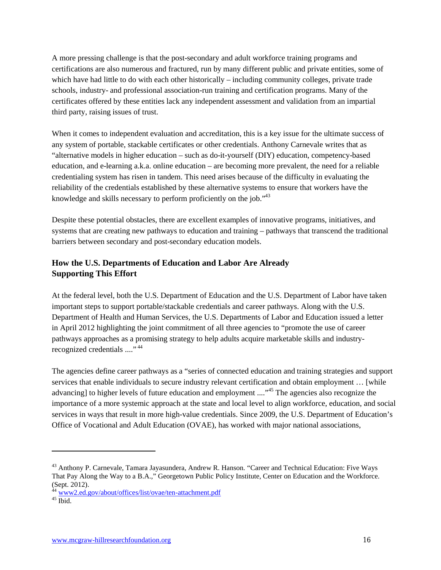A more pressing challenge is that the post-secondary and adult workforce training programs and certifications are also numerous and fractured, run by many different public and private entities, some of which have had little to do with each other historically – including community colleges, private trade schools, industry- and professional association-run training and certification programs. Many of the certificates offered by these entities lack any independent assessment and validation from an impartial third party, raising issues of trust.

When it comes to independent evaluation and accreditation, this is a key issue for the ultimate success of any system of portable, stackable certificates or other credentials. Anthony Carnevale writes that as "alternative models in higher education – such as do-it-yourself (DIY) education, competency-based education, and e-learning a.k.a. online education – are becoming more prevalent, the need for a reliable credentialing system has risen in tandem. This need arises because of the difficulty in evaluating the reliability of the credentials established by these alternative systems to ensure that workers have the knowledge and skills necessary to perform proficiently on the job."<sup>43</sup>

Despite these potential obstacles, there are excellent examples of innovative programs, initiatives, and systems that are creating new pathways to education and training – pathways that transcend the traditional barriers between secondary and post-secondary education models.

#### **How the U.S. Departments of Education and Labor Are Already Supporting This Effort**

At the federal level, both the U.S. Department of Education and the U.S. Department of Labor have taken important steps to support portable/stackable credentials and career pathways. Along with the U.S. Department of Health and Human Services, the U.S. Departments of Labor and Education issued a letter in April 2012 highlighting the joint commitment of all three agencies to "promote the use of career pathways approaches as a promising strategy to help adults acquire marketable skills and industryrecognized credentials ...."<sup>44</sup>

The agencies define career pathways as a "series of connected education and training strategies and support services that enable individuals to secure industry relevant certification and obtain employment … [while advancing] to higher levels of future education and employment ...."<sup>45</sup> The agencies also recognize the importance of a more systemic approach at the state and local level to align workforce, education, and social services in ways that result in more high-value credentials. Since 2009, the U.S. Department of Education's Office of Vocational and Adult Education (OVAE), has worked with major national associations,

<sup>43</sup> Anthony P. Carnevale, Tamara Jayasundera, Andrew R. Hanson. "Career and Technical Education: Five Ways That Pay Along the Way to a B.A.," Georgetown Public Policy Institute, Center on Education and the Workforce. (Sept. 2012).

<sup>&</sup>lt;sup>44</sup> www2.ed.gov/about/offices/list/ovae/ten-attachment.pdf<br><sup>45</sup> Ibid.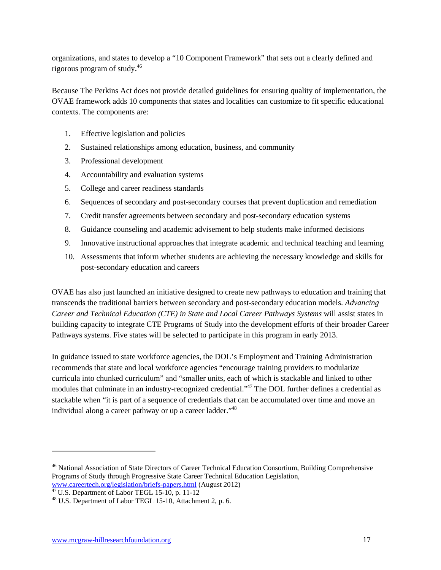organizations, and states to develop a "10 Component Framework" that sets out a clearly defined and rigorous program of study. 46

Because The Perkins Act does not provide detailed guidelines for ensuring quality of implementation, the OVAE framework adds 10 components that states and localities can customize to fit specific educational contexts. The components are:

- 1. Effective legislation and policies
- 2. Sustained relationships among education, business, and community
- 3. Professional development
- 4. Accountability and evaluation systems
- 5. College and career readiness standards
- 6. Sequences of secondary and post-secondary courses that prevent duplication and remediation
- 7. Credit transfer agreements between secondary and post-secondary education systems
- 8. Guidance counseling and academic advisement to help students make informed decisions
- 9. Innovative instructional approaches that integrate academic and technical teaching and learning
- 10. Assessments that inform whether students are achieving the necessary knowledge and skills for post-secondary education and careers

OVAE has also just launched an initiative designed to create new pathways to education and training that transcends the traditional barriers between secondary and post-secondary education models. *Advancing Career and Technical Education (CTE) in State and Local Career Pathways Systems* will assist states in building capacity to integrate CTE Programs of Study into the development efforts of their broader Career Pathways systems. Five states will be selected to participate in this program in early 2013.

In guidance issued to state workforce agencies, the DOL's Employment and Training Administration recommends that state and local workforce agencies "encourage training providers to modularize curricula into chunked curriculum" and "smaller units, each of which is stackable and linked to other modules that culminate in an industry-recognized credential."<sup>47</sup> The DOL further defines a credential as stackable when "it is part of a sequence of credentials that can be accumulated over time and move an individual along a career pathway or up a career ladder.<sup>148</sup>

<sup>&</sup>lt;sup>46</sup> National Association of State Directors of Career Technical Education Consortium, Building Comprehensive Programs of Study through Progressive State Career Technical Education Legislation,

www.careertech.org/legislation/briefs-papers.html (August 2012)<br><sup>47</sup> U.S. Department of Labor TEGL 15-10, p. 11-12<br><sup>48</sup> U.S. Department of Labor TEGL 15-10, Attachment 2, p. 6.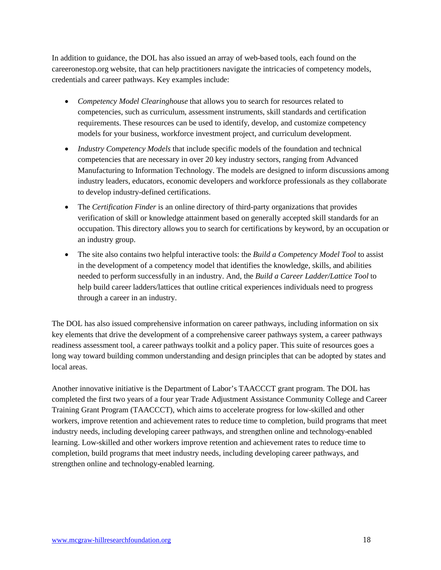In addition to guidance, the DOL has also issued an array of web-based tools, each found on the careeronestop.org website, that can help practitioners navigate the intricacies of competency models, credentials and career pathways. Key examples include:

- *Competency Model Clearinghouse* that allows you to search for resources related to competencies, such as curriculum, assessment instruments, skill standards and certification requirements. These resources can be used to identify, develop, and customize competency models for your business, workforce investment project, and curriculum development.
- *Industry Competency Models* that include specific models of the foundation and technical competencies that are necessary in over 20 key industry sectors, ranging from Advanced Manufacturing to Information Technology. The models are designed to inform discussions among industry leaders, educators, economic developers and workforce professionals as they collaborate to develop industry-defined certifications.
- The *Certification Finder* is an online directory of third-party organizations that provides verification of skill or knowledge attainment based on generally accepted skill standards for an occupation. This directory allows you to search for certifications by keyword, by an occupation or an industry group.
- The site also contains two helpful interactive tools: the *Build a Competency Model Tool* to assist in the development of a competency model that identifies the knowledge, skills, and abilities needed to perform successfully in an industry. And, the *Build a Career Ladder/Lattice Tool* to help build career ladders/lattices that outline critical experiences individuals need to progress through a career in an industry.

The DOL has also issued comprehensive information on career pathways, including information on six key elements that drive the development of a comprehensive career pathways system, a career pathways readiness assessment tool, a career pathways toolkit and a policy paper. This suite of resources goes a long way toward building common understanding and design principles that can be adopted by states and local areas.

Another innovative initiative is the Department of Labor's TAACCCT grant program. The DOL has completed the first two years of a four year Trade Adjustment Assistance Community College and Career Training Grant Program (TAACCCT), which aims to accelerate progress for low-skilled and other workers, improve retention and achievement rates to reduce time to completion, build programs that meet industry needs, including developing career pathways, and strengthen online and technology-enabled learning. Low-skilled and other workers improve retention and achievement rates to reduce time to completion, build programs that meet industry needs, including developing career pathways, and strengthen online and technology-enabled learning.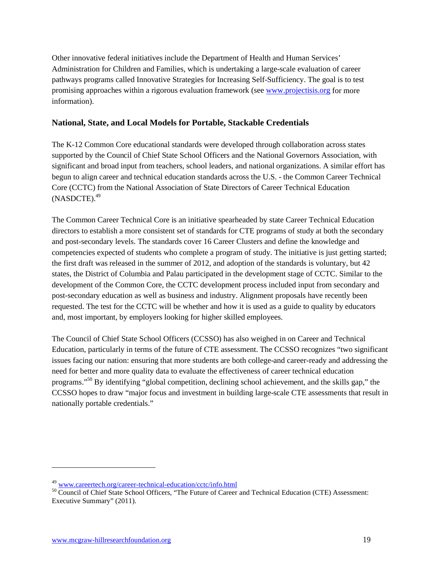Other innovative federal initiatives include the Department of Health and Human Services' Administration for Children and Families, which is undertaking a large-scale evaluation of career pathways programs called Innovative Strategies for Increasing Self-Sufficiency. The goal is to test promising approaches within a rigorous evaluation framework (see www.projectisis.org for more information).

#### **National, State, and Local Models for Portable, Stackable Credentials**

The K-12 Common Core educational standards were developed through collaboration across states supported by the Council of Chief State School Officers and the National Governors Association, with significant and broad input from teachers, school leaders, and national organizations. A similar effort has begun to align career and technical education standards across the U.S. - the Common Career Technical Core (CCTC) from the National Association of State Directors of Career Technical Education  $(NASDCTE).<sup>49</sup>$ 

The Common Career Technical Core is an initiative spearheaded by state Career Technical Education directors to establish a more consistent set of standards for CTE programs of study at both the secondary and post-secondary levels. The standards cover 16 Career Clusters and define the knowledge and competencies expected of students who complete a program of study. The initiative is just getting started; the first draft was released in the summer of 2012, and adoption of the standards is voluntary, but 42 states, the District of Columbia and Palau participated in the development stage of CCTC. Similar to the development of the Common Core, the CCTC development process included input from secondary and post-secondary education as well as business and industry. Alignment proposals have recently been requested. The test for the CCTC will be whether and how it is used as a guide to quality by educators and, most important, by employers looking for higher skilled employees.

The Council of Chief State School Officers (CCSSO) has also weighed in on Career and Technical Education, particularly in terms of the future of CTE assessment. The CCSSO recognizes "two significant issues facing our nation: ensuring that more students are both college-and career-ready and addressing the need for better and more quality data to evaluate the effectiveness of career technical education programs."50 By identifying "global competition, declining school achievement, and the skills gap," the CCSSO hopes to draw "major focus and investment in building large-scale CTE assessments that result in nationally portable credentials."

 $^{49}$  www.careertech.org/career-technical-education/cctc/info.html<br> $^{50}$  Council of Chief State School Officers, "The Future of Career and Technical Education (CTE) Assessment: Executive Summary" (2011).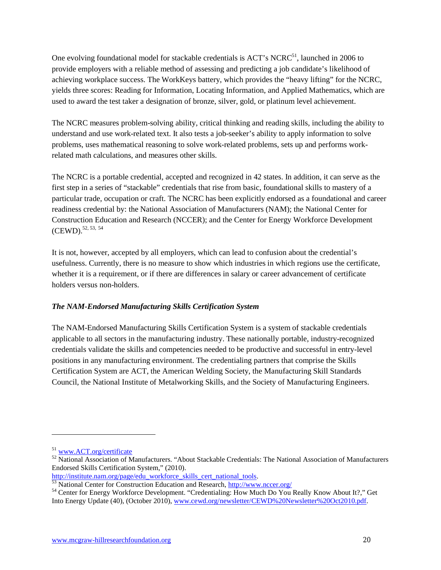One evolving foundational model for stackable credentials is  $ACT's NCRC<sup>51</sup>$ , launched in 2006 to provide employers with a reliable method of assessing and predicting a job candidate's likelihood of achieving workplace success. The WorkKeys battery, which provides the "heavy lifting" for the NCRC, yields three scores: Reading for Information, Locating Information, and Applied Mathematics, which are used to award the test taker a designation of bronze, silver, gold, or platinum level achievement.

The NCRC measures problem-solving ability, critical thinking and reading skills, including the ability to understand and use work-related text. It also tests a job-seeker's ability to apply information to solve problems, uses mathematical reasoning to solve work-related problems, sets up and performs workrelated math calculations, and measures other skills.

The NCRC is a portable credential, accepted and recognized in 42 states. In addition, it can serve as the first step in a series of "stackable" credentials that rise from basic, foundational skills to mastery of a particular trade, occupation or craft. The NCRC has been explicitly endorsed as a foundational and career readiness credential by: the National Association of Manufacturers (NAM); the National Center for Construction Education and Research (NCCER); and the Center for Energy Workforce Development  $(CEWD)$ ,  $52, 53, 54$ 

It is not, however, accepted by all employers, which can lead to confusion about the credential's usefulness. Currently, there is no measure to show which industries in which regions use the certificate, whether it is a requirement, or if there are differences in salary or career advancement of certificate holders versus non-holders.

#### *The NAM-Endorsed Manufacturing Skills Certification System*

The NAM-Endorsed Manufacturing Skills Certification System is a system of stackable credentials applicable to all sectors in the manufacturing industry. These nationally portable, industry-recognized credentials validate the skills and competencies needed to be productive and successful in entry-level positions in any manufacturing environment. The credentialing partners that comprise the Skills Certification System are ACT, the American Welding Society, the Manufacturing Skill Standards Council, the National Institute of Metalworking Skills, and the Society of Manufacturing Engineers.

 $51 \text{ www.ACT.org/certificate} 52 National Association of Manufacturing:   
\n $52 \text{ National Association of Manufacturing:}$  "About Stackable Credentials: The National Association of Manufacturing$ Endorsed Skills Certification System," (2010).

http://institute.nam.org/page/edu\_workforce\_skills\_cert\_national\_tools.<br>
<sup>53</sup> National Center for Construction Education and Research, http://www.nccer.org/<br>
<sup>54</sup> Center for Energy Workforce Development. "Credentialing: Ho Into Energy Update (40), (October 2010), www.cewd.org/newsletter/CEWD%20Newsletter%20Oct2010.pdf.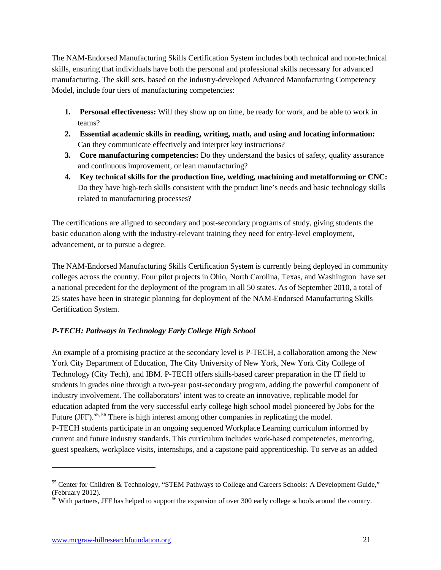The NAM-Endorsed Manufacturing Skills Certification System includes both technical and non-technical skills, ensuring that individuals have both the personal and professional skills necessary for advanced manufacturing. The skill sets, based on the industry-developed Advanced Manufacturing Competency Model, include four tiers of manufacturing competencies:

- **1. Personal effectiveness:** Will they show up on time, be ready for work, and be able to work in teams?
- **2. Essential academic skills in reading, writing, math, and using and locating information:** Can they communicate effectively and interpret key instructions?
- **3. Core manufacturing competencies:** Do they understand the basics of safety, quality assurance and continuous improvement, or lean manufacturing?
- **4. Key technical skills for the production line, welding, machining and metalforming or CNC:**  Do they have high-tech skills consistent with the product line's needs and basic technology skills related to manufacturing processes?

The certifications are aligned to secondary and post-secondary programs of study, giving students the basic education along with the industry-relevant training they need for entry-level employment, advancement, or to pursue a degree.

The NAM-Endorsed Manufacturing Skills Certification System is currently being deployed in community colleges across the country. Four pilot projects in Ohio, North Carolina, Texas, and Washington have set a national precedent for the deployment of the program in all 50 states. As of September 2010, a total of 25 states have been in strategic planning for deployment of the NAM-Endorsed Manufacturing Skills Certification System.

#### *P-TECH: Pathways in Technology Early College High School*

An example of a promising practice at the secondary level is P-TECH, a collaboration among the New York City Department of Education, The City University of New York, New York City College of Technology (City Tech), and IBM. P-TECH offers skills-based career preparation in the IT field to students in grades nine through a two-year post-secondary program, adding the powerful component of industry involvement. The collaborators' intent was to create an innovative, replicable model for education adapted from the very successful early college high school model pioneered by Jobs for the Future (JFF).<sup>55, 56</sup> There is high interest among other companies in replicating the model. P-TECH students participate in an ongoing sequenced Workplace Learning curriculum informed by current and future industry standards. This curriculum includes work-based competencies, mentoring, guest speakers, workplace visits, internships, and a capstone paid apprenticeship. To serve as an added

<sup>&</sup>lt;sup>55</sup> Center for Children & Technology, "STEM Pathways to College and Careers Schools: A Development Guide," (February 2012).

<sup>&</sup>lt;sup>56</sup> With partners, JFF has helped to support the expansion of over 300 early college schools around the country.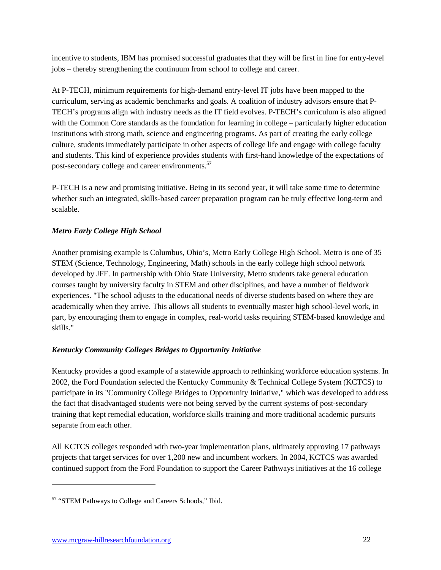incentive to students, IBM has promised successful graduates that they will be first in line for entry-level jobs – thereby strengthening the continuum from school to college and career.

At P-TECH, minimum requirements for high-demand entry-level IT jobs have been mapped to the curriculum, serving as academic benchmarks and goals. A coalition of industry advisors ensure that P-TECH's programs align with industry needs as the IT field evolves. P-TECH's curriculum is also aligned with the Common Core standards as the foundation for learning in college – particularly higher education institutions with strong math, science and engineering programs. As part of creating the early college culture, students immediately participate in other aspects of college life and engage with college faculty and students. This kind of experience provides students with first-hand knowledge of the expectations of post-secondary college and career environments.<sup>57</sup>

P-TECH is a new and promising initiative. Being in its second year, it will take some time to determine whether such an integrated, skills-based career preparation program can be truly effective long-term and scalable.

#### *Metro Early College High School*

Another promising example is Columbus, Ohio's, Metro Early College High School. Metro is one of 35 STEM (Science, Technology, Engineering, Math) schools in the early college high school network developed by JFF. In partnership with Ohio State University, Metro students take general education courses taught by university faculty in STEM and other disciplines, and have a number of fieldwork experiences. "The school adjusts to the educational needs of diverse students based on where they are academically when they arrive. This allows all students to eventually master high school-level work, in part, by encouraging them to engage in complex, real-world tasks requiring STEM-based knowledge and skills."

#### *Kentucky Community Colleges Bridges to Opportunity Initiative*

Kentucky provides a good example of a statewide approach to rethinking workforce education systems. In 2002, the Ford Foundation selected the Kentucky Community & Technical College System (KCTCS) to participate in its "Community College Bridges to Opportunity Initiative," which was developed to address the fact that disadvantaged students were not being served by the current systems of post-secondary training that kept remedial education, workforce skills training and more traditional academic pursuits separate from each other.

All KCTCS colleges responded with two-year implementation plans, ultimately approving 17 pathways projects that target services for over 1,200 new and incumbent workers. In 2004, KCTCS was awarded continued support from the Ford Foundation to support the Career Pathways initiatives at the 16 college

<sup>57</sup> "STEM Pathways to College and Careers Schools," Ibid.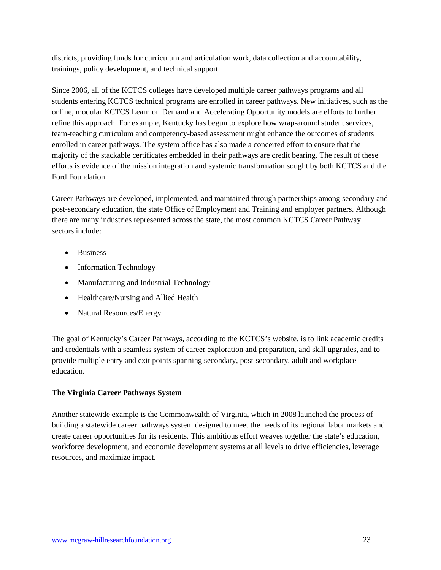districts, providing funds for curriculum and articulation work, data collection and accountability, trainings, policy development, and technical support.

Since 2006, all of the KCTCS colleges have developed multiple career pathways programs and all students entering KCTCS technical programs are enrolled in career pathways. New initiatives, such as the online, modular KCTCS Learn on Demand and Accelerating Opportunity models are efforts to further refine this approach. For example, Kentucky has begun to explore how wrap-around student services, team-teaching curriculum and competency-based assessment might enhance the outcomes of students enrolled in career pathways. The system office has also made a concerted effort to ensure that the majority of the stackable certificates embedded in their pathways are credit bearing. The result of these efforts is evidence of the mission integration and systemic transformation sought by both KCTCS and the Ford Foundation.

Career Pathways are developed, implemented, and maintained through partnerships among secondary and post-secondary education, the state Office of Employment and Training and employer partners. Although there are many industries represented across the state, the most common KCTCS Career Pathway sectors include:

- Business
- Information Technology
- Manufacturing and Industrial Technology
- Healthcare/Nursing and Allied Health
- Natural Resources/Energy

The goal of Kentucky's Career Pathways, according to the KCTCS's website, is to link academic credits and credentials with a seamless system of career exploration and preparation, and skill upgrades, and to provide multiple entry and exit points spanning secondary, post-secondary, adult and workplace education.

#### **The Virginia Career Pathways System**

Another statewide example is the Commonwealth of Virginia, which in 2008 launched the process of building a statewide career pathways system designed to meet the needs of its regional labor markets and create career opportunities for its residents. This ambitious effort weaves together the state's education, workforce development, and economic development systems at all levels to drive efficiencies, leverage resources, and maximize impact.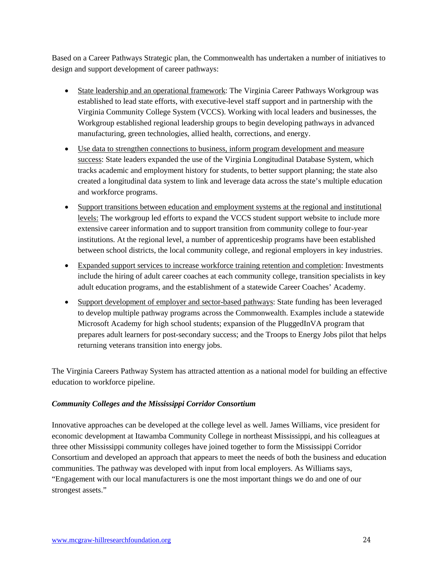Based on a Career Pathways Strategic plan, the Commonwealth has undertaken a number of initiatives to design and support development of career pathways:

- State leadership and an operational framework: The Virginia Career Pathways Workgroup was established to lead state efforts, with executive-level staff support and in partnership with the Virginia Community College System (VCCS). Working with local leaders and businesses, the Workgroup established regional leadership groups to begin developing pathways in advanced manufacturing, green technologies, allied health, corrections, and energy.
- Use data to strengthen connections to business, inform program development and measure success: State leaders expanded the use of the Virginia Longitudinal Database System, which tracks academic and employment history for students, to better support planning; the state also created a longitudinal data system to link and leverage data across the state's multiple education and workforce programs.
- Support transitions between education and employment systems at the regional and institutional levels: The workgroup led efforts to expand the VCCS student support website to include more extensive career information and to support transition from community college to four-year institutions. At the regional level, a number of apprenticeship programs have been established between school districts, the local community college, and regional employers in key industries.
- Expanded support services to increase workforce training retention and completion: Investments include the hiring of adult career coaches at each community college, transition specialists in key adult education programs, and the establishment of a statewide Career Coaches' Academy.
- Support development of employer and sector-based pathways: State funding has been leveraged to develop multiple pathway programs across the Commonwealth. Examples include a statewide Microsoft Academy for high school students; expansion of the PluggedInVA program that prepares adult learners for post-secondary success; and the Troops to Energy Jobs pilot that helps returning veterans transition into energy jobs.

The Virginia Careers Pathway System has attracted attention as a national model for building an effective education to workforce pipeline.

#### *Community Colleges and the Mississippi Corridor Consortium*

Innovative approaches can be developed at the college level as well. James Williams, vice president for economic development at Itawamba Community College in northeast Mississippi, and his colleagues at three other Mississippi community colleges have joined together to form the Mississippi Corridor Consortium and developed an approach that appears to meet the needs of both the business and education communities. The pathway was developed with input from local employers. As Williams says, "Engagement with our local manufacturers is one the most important things we do and one of our strongest assets."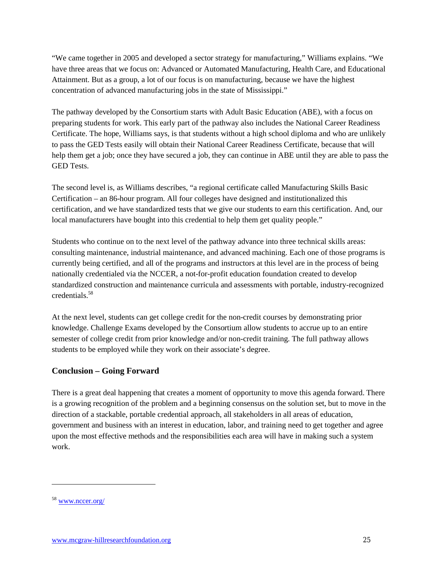"We came together in 2005 and developed a sector strategy for manufacturing," Williams explains. "We have three areas that we focus on: Advanced or Automated Manufacturing, Health Care, and Educational Attainment. But as a group, a lot of our focus is on manufacturing, because we have the highest concentration of advanced manufacturing jobs in the state of Mississippi."

The pathway developed by the Consortium starts with Adult Basic Education (ABE), with a focus on preparing students for work. This early part of the pathway also includes the National Career Readiness Certificate. The hope, Williams says, is that students without a high school diploma and who are unlikely to pass the GED Tests easily will obtain their National Career Readiness Certificate, because that will help them get a job; once they have secured a job, they can continue in ABE until they are able to pass the GED Tests.

The second level is, as Williams describes, "a regional certificate called Manufacturing Skills Basic Certification – an 86-hour program. All four colleges have designed and institutionalized this certification, and we have standardized tests that we give our students to earn this certification. And, our local manufacturers have bought into this credential to help them get quality people."

Students who continue on to the next level of the pathway advance into three technical skills areas: consulting maintenance, industrial maintenance, and advanced machining. Each one of those programs is currently being certified, and all of the programs and instructors at this level are in the process of being nationally credentialed via the NCCER, a not-for-profit education foundation created to develop standardized construction and maintenance curricula and assessments with portable, industry-recognized credentials.58

At the next level, students can get college credit for the non-credit courses by demonstrating prior knowledge. Challenge Exams developed by the Consortium allow students to accrue up to an entire semester of college credit from prior knowledge and/or non-credit training. The full pathway allows students to be employed while they work on their associate's degree.

#### **Conclusion – Going Forward**

There is a great deal happening that creates a moment of opportunity to move this agenda forward. There is a growing recognition of the problem and a beginning consensus on the solution set, but to move in the direction of a stackable, portable credential approach, all stakeholders in all areas of education, government and business with an interest in education, labor, and training need to get together and agree upon the most effective methods and the responsibilities each area will have in making such a system work.

<sup>58</sup> www.nccer.org/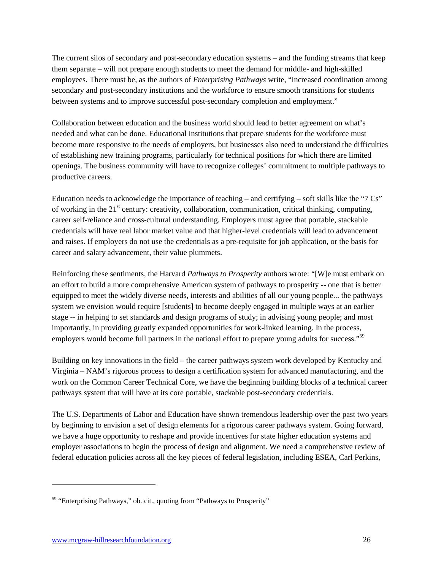The current silos of secondary and post-secondary education systems – and the funding streams that keep them separate – will not prepare enough students to meet the demand for middle- and high-skilled employees. There must be, as the authors of *Enterprising Pathways* write, "increased coordination among secondary and post-secondary institutions and the workforce to ensure smooth transitions for students between systems and to improve successful post-secondary completion and employment."

Collaboration between education and the business world should lead to better agreement on what's needed and what can be done. Educational institutions that prepare students for the workforce must become more responsive to the needs of employers, but businesses also need to understand the difficulties of establishing new training programs, particularly for technical positions for which there are limited openings. The business community will have to recognize colleges' commitment to multiple pathways to productive careers.

Education needs to acknowledge the importance of teaching – and certifying – soft skills like the "7 Cs" of working in the  $21<sup>st</sup>$  century: creativity, collaboration, communication, critical thinking, computing, career self-reliance and cross-cultural understanding. Employers must agree that portable, stackable credentials will have real labor market value and that higher-level credentials will lead to advancement and raises. If employers do not use the credentials as a pre-requisite for job application, or the basis for career and salary advancement, their value plummets.

Reinforcing these sentiments, the Harvard *Pathways to Prosperity* authors wrote: "[W]e must embark on an effort to build a more comprehensive American system of pathways to prosperity -- one that is better equipped to meet the widely diverse needs, interests and abilities of all our young people... the pathways system we envision would require [students] to become deeply engaged in multiple ways at an earlier stage -- in helping to set standards and design programs of study; in advising young people; and most importantly, in providing greatly expanded opportunities for work-linked learning. In the process, employers would become full partners in the national effort to prepare young adults for success."<sup>59</sup>

Building on key innovations in the field – the career pathways system work developed by Kentucky and Virginia – NAM's rigorous process to design a certification system for advanced manufacturing, and the work on the Common Career Technical Core, we have the beginning building blocks of a technical career pathways system that will have at its core portable, stackable post-secondary credentials.

The U.S. Departments of Labor and Education have shown tremendous leadership over the past two years by beginning to envision a set of design elements for a rigorous career pathways system. Going forward, we have a huge opportunity to reshape and provide incentives for state higher education systems and employer associations to begin the process of design and alignment. We need a comprehensive review of federal education policies across all the key pieces of federal legislation, including ESEA, Carl Perkins,

<sup>&</sup>lt;sup>59</sup> "Enterprising Pathways," ob. cit., quoting from "Pathways to Prosperity"